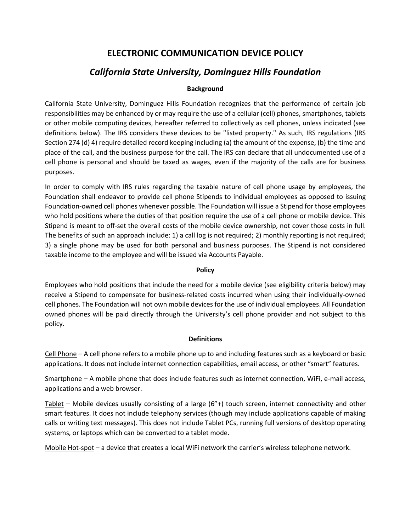# **ELECTRONIC COMMUNICATION DEVICE POLICY**

# *California State University, Dominguez Hills Foundation*

# **Background**

California State University, Dominguez Hills Foundation recognizes that the performance of certain job responsibilities may be enhanced by or may require the use of a cellular (cell) phones, smartphones, tablets or other mobile computing devices, hereafter referred to collectively as cell phones, unless indicated (see definitions below). The IRS considers these devices to be "listed property." As such, IRS regulations (IRS Section 274 (d) 4) require detailed record keeping including (a) the amount of the expense, (b) the time and place of the call, and the business purpose for the call. The IRS can declare that all undocumented use of a cell phone is personal and should be taxed as wages, even if the majority of the calls are for business purposes.

In order to comply with IRS rules regarding the taxable nature of cell phone usage by employees, the Foundation shall endeavor to provide cell phone Stipends to individual employees as opposed to issuing Foundation-owned cell phones whenever possible. The Foundation will issue a Stipend for those employees who hold positions where the duties of that position require the use of a cell phone or mobile device. This Stipend is meant to off-set the overall costs of the mobile device ownership, not cover those costs in full. The benefits of such an approach include: 1) a call log is not required; 2) monthly reporting is not required; 3) a single phone may be used for both personal and business purposes. The Stipend is not considered taxable income to the employee and will be issued via Accounts Payable.

# **Policy**

Employees who hold positions that include the need for a mobile device (see eligibility criteria below) may receive a Stipend to compensate for business-related costs incurred when using their individually-owned cell phones. The Foundation will not own mobile devices for the use of individual employees. All Foundation owned phones will be paid directly through the University's cell phone provider and not subject to this policy.

# **Definitions**

Cell Phone – A cell phone refers to a mobile phone up to and including features such as a keyboard or basic applications. It does not include internet connection capabilities, email access, or other "smart" features.

Smartphone – A mobile phone that does include features such as internet connection, WiFi, e-mail access, applications and a web browser.

 $Tablet$  – Mobile devices usually consisting of a large (6"+) touch screen, internet connectivity and other</u> smart features. It does not include telephony services (though may include applications capable of making calls or writing text messages). This does not include Tablet PCs, running full versions of desktop operating systems, or laptops which can be converted to a tablet mode.

Mobile Hot-spot – a device that creates a local WiFi network the carrier's wireless telephone network.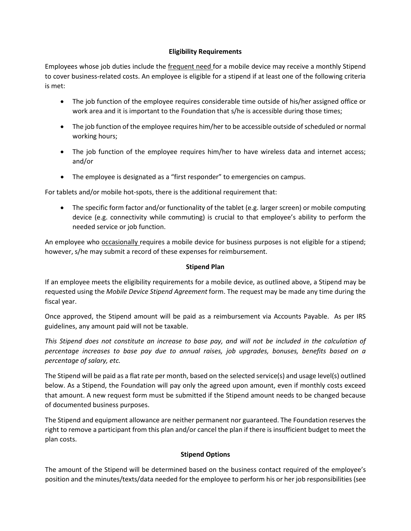## **Eligibility Requirements**

Employees whose job duties include the frequent need for a mobile device may receive a monthly Stipend to cover business-related costs. An employee is eligible for a stipend if at least one of the following criteria is met:

- The job function of the employee requires considerable time outside of his/her assigned office or work area and it is important to the Foundation that s/he is accessible during those times;
- The job function of the employee requires him/her to be accessible outside of scheduled or normal working hours;
- The job function of the employee requires him/her to have wireless data and internet access; and/or
- The employee is designated as a "first responder" to emergencies on campus.

For tablets and/or mobile hot-spots, there is the additional requirement that:

• The specific form factor and/or functionality of the tablet (e.g. larger screen) or mobile computing device (e.g. connectivity while commuting) is crucial to that employee's ability to perform the needed service or job function.

An employee who **occasionally** requires a mobile device for business purposes is not eligible for a stipend; however, s/he may submit a record of these expenses for reimbursement.

### **Stipend Plan**

If an employee meets the eligibility requirements for a mobile device, as outlined above, a Stipend may be requested using the *Mobile Device Stipend Agreement* form. The request may be made any time during the fiscal year.

Once approved, the Stipend amount will be paid as a reimbursement via Accounts Payable. As per IRS guidelines, any amount paid will not be taxable.

*This Stipend does not constitute an increase to base pay, and will not be included in the calculation of percentage increases to base pay due to annual raises, job upgrades, bonuses, benefits based on a percentage of salary, etc.*

The Stipend will be paid as a flat rate per month, based on the selected service(s) and usage level(s) outlined below. As a Stipend, the Foundation will pay only the agreed upon amount, even if monthly costs exceed that amount. A new request form must be submitted if the Stipend amount needs to be changed because of documented business purposes.

The Stipend and equipment allowance are neither permanent nor guaranteed. The Foundation reserves the right to remove a participant from this plan and/or cancel the plan if there is insufficient budget to meet the plan costs.

#### **Stipend Options**

The amount of the Stipend will be determined based on the business contact required of the employee's position and the minutes/texts/data needed for the employee to perform his or her job responsibilities (see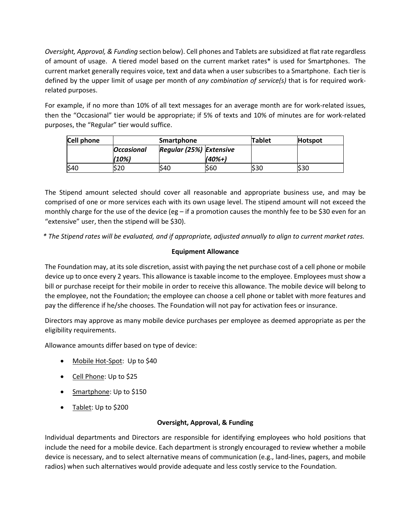*Oversight, Approval, & Funding* section below). Cell phones and Tablets are subsidized at flat rate regardless of amount of usage. A tiered model based on the current market rates\* is used for Smartphones. The current market generally requires voice, text and data when a user subscribes to a Smartphone. Each tier is defined by the upper limit of usage per month of *any combination of service(s)* that is for required workrelated purposes.

For example, if no more than 10% of all text messages for an average month are for work-related issues, then the "Occasional" tier would be appropriate; if 5% of texts and 10% of minutes are for work-related purposes, the "Regular" tier would suffice.

| Cell phone | Smartphone        |                         |        | Tablet | <b>Hotspot</b> |
|------------|-------------------|-------------------------|--------|--------|----------------|
|            | <b>Occasional</b> | Regular (25%) Extensive |        |        |                |
|            | (10%)             |                         | (40%+) |        |                |
| \$40       | \$20              | S40                     | S60    | S30    | S30            |

The Stipend amount selected should cover all reasonable and appropriate business use, and may be comprised of one or more services each with its own usage level. The stipend amount will not exceed the monthly charge for the use of the device (eg – if a promotion causes the monthly fee to be \$30 even for an "extensive" user, then the stipend will be \$30).

*\* The Stipend rates will be evaluated, and if appropriate, adjusted annually to align to current market rates.*

# **Equipment Allowance**

The Foundation may, at its sole discretion, assist with paying the net purchase cost of a cell phone or mobile device up to once every 2 years. This allowance is taxable income to the employee. Employees must show a bill or purchase receipt for their mobile in order to receive this allowance. The mobile device will belong to the employee, not the Foundation; the employee can choose a cell phone or tablet with more features and pay the difference if he/she chooses. The Foundation will not pay for activation fees or insurance.

Directors may approve as many mobile device purchases per employee as deemed appropriate as per the eligibility requirements.

Allowance amounts differ based on type of device:

- Mobile Hot-Spot: Up to \$40
- Cell Phone: Up to \$25
- Smartphone: Up to \$150
- Tablet: Up to \$200

#### **Oversight, Approval, & Funding**

Individual departments and Directors are responsible for identifying employees who hold positions that include the need for a mobile device. Each department is strongly encouraged to review whether a mobile device is necessary, and to select alternative means of communication (e.g., land-lines, pagers, and mobile radios) when such alternatives would provide adequate and less costly service to the Foundation.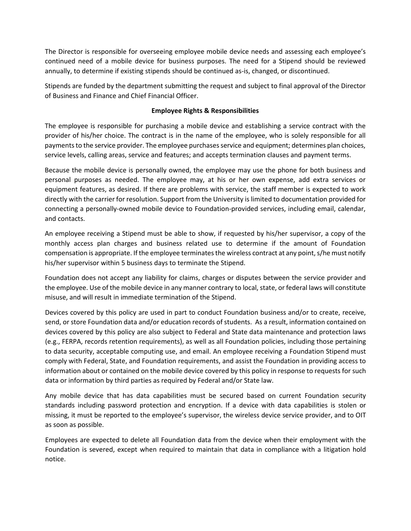The Director is responsible for overseeing employee mobile device needs and assessing each employee's continued need of a mobile device for business purposes. The need for a Stipend should be reviewed annually, to determine if existing stipends should be continued as-is, changed, or discontinued.

Stipends are funded by the department submitting the request and subject to final approval of the Director of Business and Finance and Chief Financial Officer.

## **Employee Rights & Responsibilities**

The employee is responsible for purchasing a mobile device and establishing a service contract with the provider of his/her choice. The contract is in the name of the employee, who is solely responsible for all payments to the service provider. The employee purchases service and equipment; determines plan choices, service levels, calling areas, service and features; and accepts termination clauses and payment terms.

Because the mobile device is personally owned, the employee may use the phone for both business and personal purposes as needed. The employee may, at his or her own expense, add extra services or equipment features, as desired. If there are problems with service, the staff member is expected to work directly with the carrier for resolution. Support from the University is limited to documentation provided for connecting a personally-owned mobile device to Foundation-provided services, including email, calendar, and contacts.

An employee receiving a Stipend must be able to show, if requested by his/her supervisor, a copy of the monthly access plan charges and business related use to determine if the amount of Foundation compensation is appropriate. If the employee terminates the wireless contract at any point, s/he must notify his/her supervisor within 5 business days to terminate the Stipend.

Foundation does not accept any liability for claims, charges or disputes between the service provider and the employee. Use of the mobile device in any manner contrary to local, state, or federal laws will constitute misuse, and will result in immediate termination of the Stipend.

Devices covered by this policy are used in part to conduct Foundation business and/or to create, receive, send, or store Foundation data and/or education records of students. As a result, information contained on devices covered by this policy are also subject to Federal and State data maintenance and protection laws (e.g., FERPA, records retention requirements), as well as all Foundation policies, including those pertaining to data security, acceptable computing use, and email. An employee receiving a Foundation Stipend must comply with Federal, State, and Foundation requirements, and assist the Foundation in providing access to information about or contained on the mobile device covered by this policy in response to requests for such data or information by third parties as required by Federal and/or State law.

Any mobile device that has data capabilities must be secured based on current Foundation security standards including password protection and encryption. If a device with data capabilities is stolen or missing, it must be reported to the employee's supervisor, the wireless device service provider, and to OIT as soon as possible.

Employees are expected to delete all Foundation data from the device when their employment with the Foundation is severed, except when required to maintain that data in compliance with a litigation hold notice.